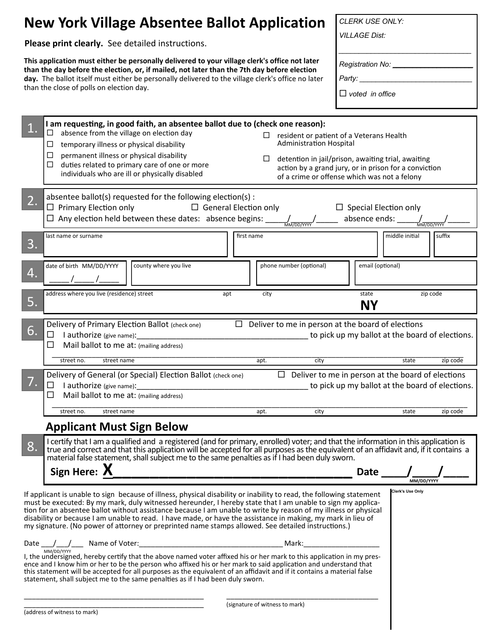| <b>New York Village Absentee Ballot Application</b>                                                                                                                                                                                                                                                                                                                                                                                                                                                                                                                                                       | <b>CLERK USE ONLY:</b>                                                |
|-----------------------------------------------------------------------------------------------------------------------------------------------------------------------------------------------------------------------------------------------------------------------------------------------------------------------------------------------------------------------------------------------------------------------------------------------------------------------------------------------------------------------------------------------------------------------------------------------------------|-----------------------------------------------------------------------|
| Please print clearly. See detailed instructions.                                                                                                                                                                                                                                                                                                                                                                                                                                                                                                                                                          | <b>VILLAGE Dist:</b>                                                  |
| This application must either be personally delivered to your village clerk's office not later<br>than the day before the election, or, if mailed, not later than the 7th day before election<br>day. The ballot itself must either be personally delivered to the village clerk's office no later<br>than the close of polls on election day.                                                                                                                                                                                                                                                             | Registration No: ____<br>Party: ___________<br>$\Box$ voted in office |
| I am requesting, in good faith, an absentee ballot due to (check one reason):<br>absence from the village on election day<br>ப<br>resident or patient of a Veterans Health<br>$\Box$<br><b>Administration Hospital</b><br>temporary illness or physical disability<br>ப<br>$\Box$<br>permanent illness or physical disability<br>detention in jail/prison, awaiting trial, awaiting<br>□<br>duties related to primary care of one or more<br>□<br>action by a grand jury, or in prison for a conviction<br>individuals who are ill or physically disabled<br>of a crime or offense which was not a felony |                                                                       |
| absentee ballot(s) requested for the following election(s) :<br>2.<br>$\Box$ Primary Election only<br>$\Box$ General Election only<br>$\Box$ Special Election only<br>$\Box$ Any election held between these dates: absence begins:<br>MM/DD/YYYY                                                                                                                                                                                                                                                                                                                                                         |                                                                       |
| last name or surname<br>first name<br>3.                                                                                                                                                                                                                                                                                                                                                                                                                                                                                                                                                                  | middle initial<br>suffix                                              |
| date of birth MM/DD/YYYY<br>county where you live<br>phone number (optional)<br>4.                                                                                                                                                                                                                                                                                                                                                                                                                                                                                                                        | email (optional)                                                      |
| address where you live (residence) street<br>apt<br>city<br>5.                                                                                                                                                                                                                                                                                                                                                                                                                                                                                                                                            | state<br>zip code<br><b>NY</b>                                        |
| Delivery of Primary Election Ballot (check one)<br>Deliver to me in person at the board of elections<br>$\Box$<br>6.<br>I authorize (give name):<br>to pick up my ballot at the board of elections.<br>$\Box$<br>Mail ballot to me at: (mailing address)<br>ப<br>zip code<br>street no.<br>street name<br>city<br>state<br>apt.                                                                                                                                                                                                                                                                           |                                                                       |
| Delivery of General (or Special) Election Ballot (check one)<br>$\Box$ Deliver to me in person at the board of elections<br>□<br>Mail ballot to me at: (mailing address)<br>ப                                                                                                                                                                                                                                                                                                                                                                                                                             |                                                                       |
| apt.<br>city<br>street no.<br>street name                                                                                                                                                                                                                                                                                                                                                                                                                                                                                                                                                                 | state<br>zip code                                                     |
| <b>Applicant Must Sign Below</b><br>I certify that I am a qualified and a registered (and for primary, enrolled) voter; and that the information in this application is<br>8.<br>true and correct and that this application will be accepted for all purposes as the equivalent of an affidavit and, if it contains a<br>material false statement, shall subject me to the same penalties as if I had been duly sworn.<br>Sign Here: $X$<br>Date<br>MM/DD/YYYY                                                                                                                                            |                                                                       |
| <b>Clerk's Use Only</b><br>If applicant is unable to sign because of illness, physical disability or inability to read, the following statement<br>must be executed: By my mark, duly witnessed hereunder, I hereby state that I am unable to sign my applica-<br>tion for an absentee ballot without assistance because I am unable to write by reason of my illness or physical<br>disability or because I am unable to read. I have made, or have the assistance in making, my mark in lieu of<br>my signature. (No power of attorney or preprinted name stamps allowed. See detailed instructions.)   |                                                                       |
| Date ____/ ____/ _____ Name of Voter:<br>MM/DD/YYYY<br>I, the undersigned, hereby certify that the above named voter affixed his or her mark to this application in my pres-<br>ence and I know him or her to be the person who affixed his or her mark to said application and understand that<br>this statement will be accepted for all purposes as the equivalent of an affidavit and if it contains a material false<br>statement, shall subject me to the same penalties as if I had been duly sworn.                                                                                               |                                                                       |
| (signature of witness to mark)                                                                                                                                                                                                                                                                                                                                                                                                                                                                                                                                                                            |                                                                       |

(signature of witness to mark)